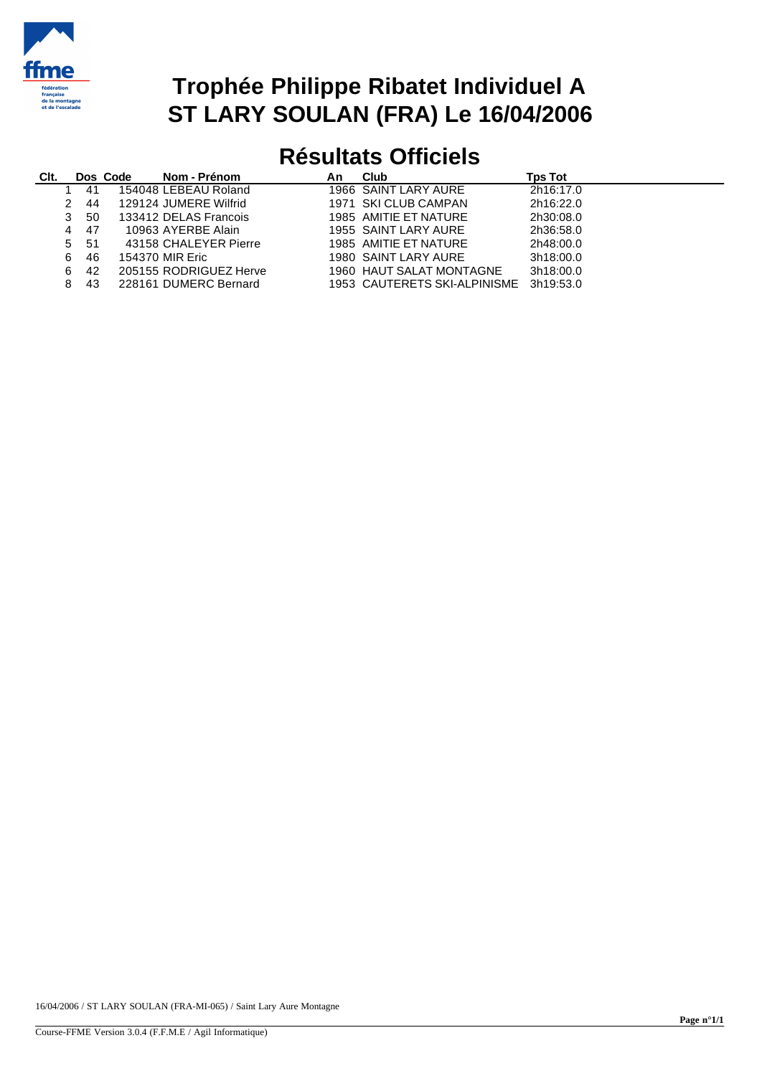

## **Trophée Philippe Ribatet Individuel A ST LARY SOULAN (FRA) Le 16/04/2006**

## **Résultats Officiels**

| Clt. |               |     | Dos Code | Nom - Prénom           | An | <b>Club</b>                  | Tps Tot   |
|------|---------------|-----|----------|------------------------|----|------------------------------|-----------|
|      |               | 41  |          | 154048 LEBEAU Roland   |    | 1966 SAINT LARY AURE         | 2h16:17.0 |
|      | $\mathcal{P}$ | 44  |          | 129124 JUMERE Wilfrid  |    | 1971 SKI CLUB CAMPAN         | 2h16:22.0 |
|      | 3             | 50  |          | 133412 DELAS Francois  |    | 1985 AMITIE ET NATURE        | 2h30:08.0 |
|      | 4             | 47  |          | 10963 AYERBE Alain     |    | 1955 SAINT LARY AURE         | 2h36:58.0 |
|      | 5.            | -51 |          | 43158 CHALEYER Pierre  |    | 1985 AMITIE ET NATURE        | 2h48:00.0 |
|      | 6             | 46  |          | 154370 MIR Eric        |    | 1980 SAINT LARY AURE         | 3h18:00.0 |
|      | 6             | 42  |          | 205155 RODRIGUEZ Herve |    | 1960 HAUT SALAT MONTAGNE     | 3h18:00.0 |
|      | 8             | 43  |          | 228161 DUMERC Bernard  |    | 1953 CAUTERETS SKI-ALPINISME | 3h19:53.0 |
|      |               |     |          |                        |    |                              |           |

16/04/2006 / ST LARY SOULAN (FRA-MI-065) / Saint Lary Aure Montagne